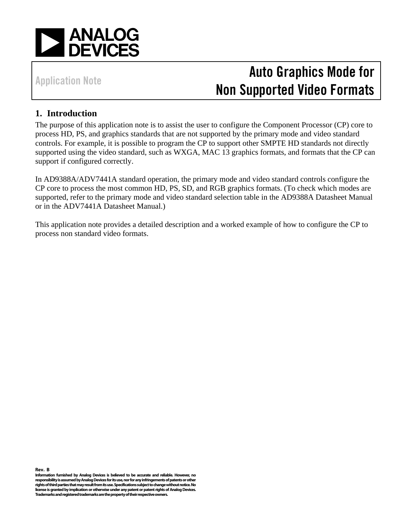

# Auto Graphics Mode for Non Supported Video Formats

### **1. Introduction**

The purpose of this application note is to assist the user to configure the Component Processor (CP) core to process HD, PS, and graphics standards that are not supported by the primary mode and video standard controls. For example, it is possible to program the CP to support other SMPTE HD standards not directly supported using the video standard, such as WXGA, MAC 13 graphics formats, and formats that the CP can support if configured correctly.

In AD9388A/ADV7441A standard operation, the primary mode and video standard controls configure the CP core to process the most common HD, PS, SD, and RGB graphics formats. (To check which modes are supported, refer to the primary mode and video standard selection table in the AD9388A Datasheet Manual or in the ADV7441A Datasheet Manual.)

This application note provides a detailed description and a worked example of how to configure the CP to process non standard video formats.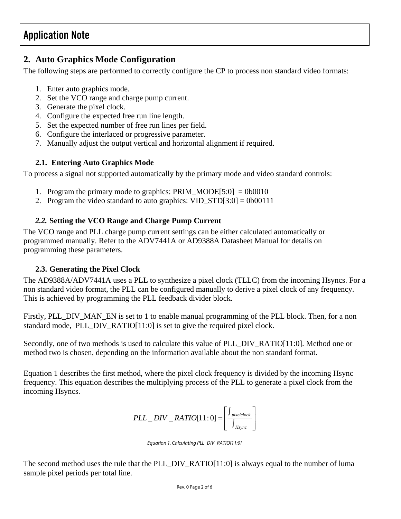### **2. Auto Graphics Mode Configuration**

The following steps are performed to correctly configure the CP to process non standard video formats:

- 1. Enter auto graphics mode.
- 2. Set the VCO range and charge pump current.
- 3. Generate the pixel clock.
- 4. Configure the expected free run line length.
- 5. Set the expected number of free run lines per field.
- 6. Configure the interlaced or progressive parameter.
- 7. Manually adjust the output vertical and horizontal alignment if required.

#### **2.1. Entering Auto Graphics Mode**

To process a signal not supported automatically by the primary mode and video standard controls:

- 1. Program the primary mode to graphics: PRIM MODE[5:0] = 0b0010
- 2. Program the video standard to auto graphics:  $VID\_STD[3:0] = 0b00111$

#### *2.2.* **Setting the VCO Range and Charge Pump Current**

The VCO range and PLL charge pump current settings can be either calculated automatically or programmed manually. Refer to the ADV7441A or AD9388A Datasheet Manual for details on programming these parameters.

#### **2.3. Generating the Pixel Clock**

The AD9388A/ADV7441A uses a PLL to synthesize a pixel clock (TLLC) from the incoming Hsyncs. For a non standard video format, the PLL can be configured manually to derive a pixel clock of any frequency. This is achieved by programming the PLL feedback divider block.

Firstly, PLL DIV MAN EN is set to 1 to enable manual programming of the PLL block. Then, for a non standard mode, PLL\_DIV\_RATIO[11:0] is set to give the required pixel clock.

Secondly, one of two methods is used to calculate this value of PLL\_DIV\_RATIO[11:0]. Method one or method two is chosen, depending on the information available about the non standard format.

[Equation 1](#page-1-0) describes the first method, where the pixel clock frequency is divided by the incoming Hsync frequency. This equation describes the multiplying process of the PLL to generate a pixel clock from the incoming Hsyncs.

$$
PLL\_DIV\_RATIO[11:0] = \left[ \frac{\int_{pixelclock}}{\int_{Hsync}} \right]
$$

<span id="page-1-0"></span>Equation 1. Calculating PLL\_DIV\_RATIO[11:0]

The second method uses the rule that the PLL\_DIV\_RATIO[11:0] is always equal to the number of luma sample pixel periods per total line.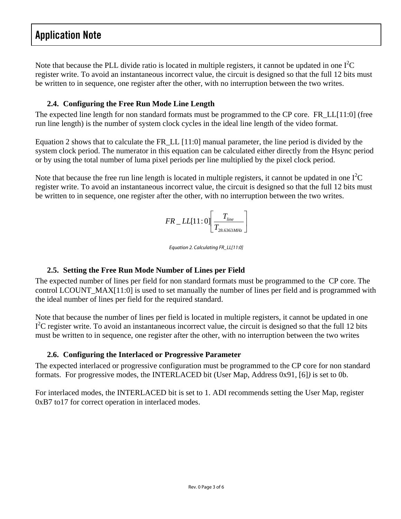Note that because the PLL divide ratio is located in multiple registers, it cannot be updated in one  $I^2C$ register write. To avoid an instantaneous incorrect value, the circuit is designed so that the full 12 bits must be written to in sequence, one register after the other, with no interruption between the two writes.

#### **2.4. Configuring the Free Run Mode Line Length**

The expected line length for non standard formats must be programmed to the CP core. FR\_LL[11:0] (free run line length) is the number of system clock cycles in the ideal line length of the video format.

[Equation 2](#page-2-0) shows that to calculate the FR\_LL [11:0] manual parameter, the line period is divided by the system clock period. The numerator in this equation can be calculated either directly from the Hsync period or by using the total number of luma pixel periods per line multiplied by the pixel clock period.

Note that because the free run line length is located in multiple registers, it cannot be updated in one  $I^2C$ register write. To avoid an instantaneous incorrect value, the circuit is designed so that the full 12 bits must be written to in sequence, one register after the other, with no interruption between the two writes.

$$
FR\_LL[11:0]\left[\frac{T_{line}}{T_{28.6363MHz}}\right]
$$

<span id="page-2-0"></span>Equation 2. Calculating FR\_LL[11:0]

#### **2.5. Setting the Free Run Mode Number of Lines per Field**

The expected number of lines per field for non standard formats must be programmed to the CP core. The control LCOUNT\_MAX[11:0] is used to set manually the number of lines per field and is programmed with the ideal number of lines per field for the required standard.

Note that because the number of lines per field is located in multiple registers, it cannot be updated in one I<sup>2</sup>C register write. To avoid an instantaneous incorrect value, the circuit is designed so that the full 12 bits must be written to in sequence, one register after the other, with no interruption between the two writes

#### **2.6. Configuring the Interlaced or Progressive Parameter**

The expected interlaced or progressive configuration must be programmed to the CP core for non standard formats. For progressive modes, the INTERLACED bit (User Map, Address 0x91, [6]*)* is set to 0b.

For interlaced modes, the INTERLACED bit is set to 1. ADI recommends setting the User Map, register 0xB7 to17 for correct operation in interlaced modes.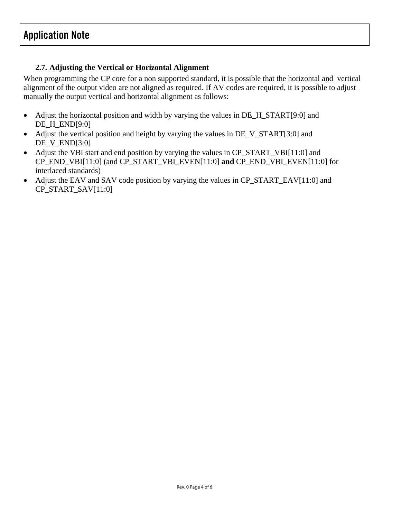#### **2.7. Adjusting the Vertical or Horizontal Alignment**

When programming the CP core for a non supported standard, it is possible that the horizontal and vertical alignment of the output video are not aligned as required. If AV codes are required, it is possible to adjust manually the output vertical and horizontal alignment as follows:

- Adjust the horizontal position and width by varying the values in DE\_H\_START[9:0] and DE\_H\_END[9:0]
- Adjust the vertical position and height by varying the values in DE\_V\_START[3:0] and DE\_V\_END[3:0]
- Adjust the VBI start and end position by varying the values in CP\_START\_VBI[11:0] and CP\_END\_VBI[11:0] (and CP\_START\_VBI\_EVEN[11:0] **and** CP\_END\_VBI\_EVEN[11:0] for interlaced standards)
- Adjust the EAV and SAV code position by varying the values in CP\_START\_EAV[11:0] and CP\_START\_SAV[11:0]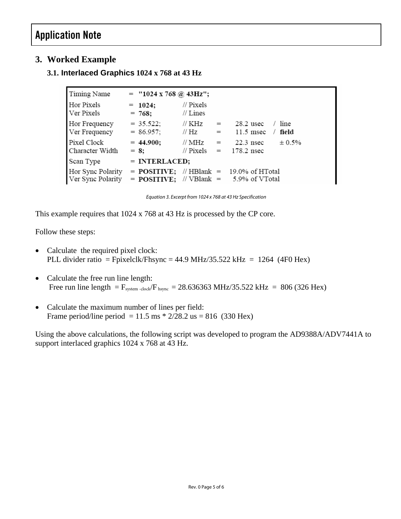### **3. Worked Example**

#### **3.1. Interlaced Graphics 1024 x 768 at 43 Hz**

| Timing Name                            | $=$ "1024 x 768 @ 43Hz";   |                         |            |                                                                                                           |
|----------------------------------------|----------------------------|-------------------------|------------|-----------------------------------------------------------------------------------------------------------|
| Hor Pixels<br>Ver Pixels               | $= 1024;$<br>$= 768$ ;     | // Pixels<br>// Lines   |            |                                                                                                           |
| Hor Frequency<br>Ver Frequency         | $= 35.522;$<br>$= 86.957;$ | // KHz<br>// Hz         | $=$<br>$=$ | $28.2$ usec<br>line<br>$11.5$ msec<br>field                                                               |
| Pixel Clock<br>Character Width         | $= 44.900;$<br>$= 8:$      | // MHz<br>// $Pixels =$ | $=$        | $22.3$ nsec<br>$± 0.5\%$<br>178.2 nsec                                                                    |
| Scan Type                              | $=$ INTERLACED;            |                         |            |                                                                                                           |
| Hor Sync Polarity<br>Ver Sync Polarity |                            |                         |            | $=$ <b>POSITIVE</b> ; // HBlank $=$ 19.0% of HTotal<br>$=$ <b>POSITIVE</b> ; // VBlank $=$ 5.9% of VTotal |

Equation 3. Excerpt from 1024 x 768 at 43 Hz Specification

This example requires that 1024 x 768 at 43 Hz is processed by the CP core.

Follow these steps:

- Calculate the required pixel clock: PLL divider ratio = Fpixelclk/Fhsync = 44.9 MHz/35.522 kHz = 1264 (4F0 Hex)
- Calculate the free run line length: Free run line length =  $F_{system\text{-clock}}/F_{hsync} = 28.636363 \text{ MHz}/35.522 \text{ kHz} = 806 (326 \text{ Hex})$
- Calculate the maximum number of lines per field: Frame period/line period = 11.5 ms  $*$  2/28.2 us = 816 (330 Hex)

Using the above calculations, the following script was developed to program the AD9388A/ADV7441A to support interlaced graphics 1024 x 768 at 43 Hz.